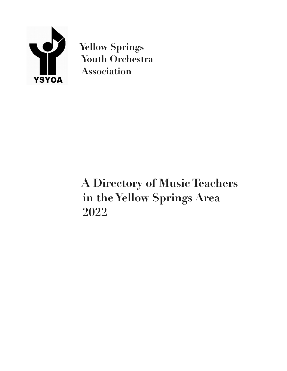

**Yellow Springs Youth Orchestra Association** 

# **A Directory of Music Teachers in the Yellow Springs Area 2022**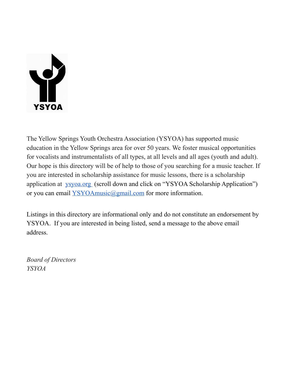

The Yellow Springs Youth Orchestra Association (YSYOA) has supported music education in the Yellow Springs area for over 50 years. We foster musical opportunities for vocalists and instrumentalists of all types, at all levels and all ages (youth and adult). Our hope is this directory will be of help to those of you searching for a music teacher. If you are interested in scholarship assistance for music lessons, there is a scholarship application at [ysyoa.org](http://ysyoa.org/) (scroll down and click on "YSYOA Scholarship Application") or you can email [YSYOAmusic@gmail.com](mailto:YSYOAmusic@gmail.com) for more information.

Listings in this directory are informational only and do not constitute an endorsement by YSYOA. If you are interested in being listed, send a message to the above email address.

*Board of Directors YSYOA*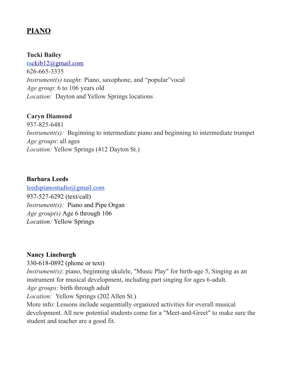## **PIANO**

#### **Tucki Bailey**

t[uckib12@gmail.com](mailto:tuckib12@gmail.com) 626-665-3335 *Instrument(s) taught:* Piano, saxophone, and "popular" vocal *Age group*: 6 to 106 years old *Location:* Dayton and Yellow Springs locations

#### **Caryn Diamond**

937-825-6481 *Instrument(s)*: Beginning to intermediate piano and beginning to intermediate trumpet *Age groups*: all ages *Location:* Yellow Springs (412 Dayton St.)

#### **Barbara Leeds**

leedspianostudio@gmail.com 937-527-6292 (text/call) *Instrument(s)*: Piano and Pipe Organ *Age group(s)* Age 6 through 106 *Location:* Yellow Springs

#### **Nancy Lineburgh**

330-618-0892 (phone or text) *Instrument(s)*: piano, beginning ukulele, "Music Play" for birth-age 5, Singing as an instrument for musical development, including part singing for ages 6-adult. *Age groups:* birth through adult *Location:* Yellow Springs (202 Allen St.)

More info: Lessons include sequentially organized activities for overall musical development. All new potential students come for a "Meet-and-Greet" to make sure the student and teacher are a good fit.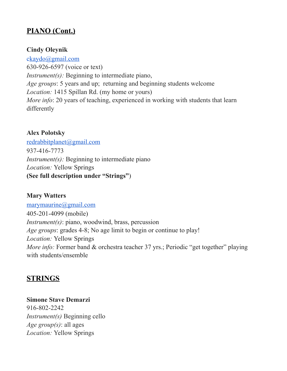# **PIANO (Cont.)**

#### **Cindy Oleynik**

[ckaydo@gmail.com](mailto:ckaydo@gmail.com) 630-926-6597 (voice or text) *Instrument(s)*: Beginning to intermediate piano, *Age groups*: 5 years and up; returning and beginning students welcome *Location:* 1415 Spillan Rd. (my home or yours) *More info*: 20 years of teaching, experienced in working with students that learn differently

## **Alex Polotsky**

[redrabbitplanet@gmail.com](mailto:redrabbitplanet@gmail.com) 937-416-7773 *Instrument(s)*: Beginning to intermediate piano *Location:* Yellow Springs **(See full description under "Strings"**)

## **Mary Watters**

[marymaurine@gmail.com](mailto:marymaurine@gmail.com) 405-201-4099 (mobile) *Instrument(s)*: piano, woodwind, brass, percussion *Age groups*: grades 4-8; No age limit to begin or continue to play! *Location:* Yellow Springs *More info:* Former band & orchestra teacher 37 yrs.; Periodic "get together" playing with students/ensemble

## **STRINGS**

**Simone Stave Demarzi** 916-802-2242 *Instrument(s)* Beginning cello *Age group(s)*: all ages

*Location:* Yellow Springs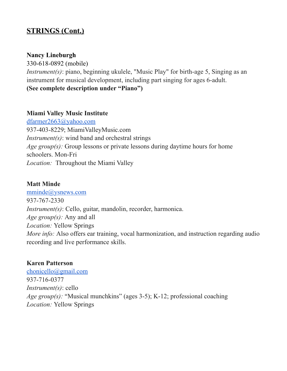# **STRINGS (Cont.)**

#### **Nancy Lineburgh**

330-618-0892 (mobile) *Instrument(s)*: piano, beginning ukulele, "Music Play" for birth-age 5, Singing as an instrument for musical development, including part singing for ages 6-adult. **(See complete description under "Piano")**

#### **Miami Valley Music Institute**

[dfarmer2663@yahoo.com](mailto:dfarmer2663@yahoo.com) 937-403-8229; MiamiValleyMusic.com *Instrument(s)*: wind band and orchestral strings *Age group(s):* Group lessons or private lessons during daytime hours for home schoolers. Mon-Fri *Location:* Throughout the Miami Valley

#### **Matt Minde**

[mminde@ysnews.com](mailto:mind@ysnews.com) 937-767-2330 *Instrument(s)*: Cello, guitar, mandolin, recorder, harmonica. *Age group(s):* Any and all *Location:* Yellow Springs *More info:* Also offers ear training, vocal harmonization, and instruction regarding audio recording and live performance skills.

#### **Karen Patterson**

[chonicello@gmail.com](mailto:chonicello@gmail.com) 937-716-0377 *Instrument(s)*: cello *Age group(s):* "Musical munchkins" (ages 3-5); K-12; professional coaching *Location:* Yellow Springs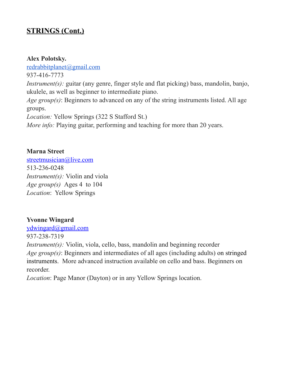# **STRINGS (Cont.)**

#### **Alex Polotsky.**

[redrabbitplanet@gmail.com](mailto:redrabbitplanet@gmail.com) 937-416-7773 *Instrument(s):* guitar (any genre, finger style and flat picking) bass, mandolin, banjo, ukulele, as well as beginner to intermediate piano. *Age group(s)*: Beginners to advanced on any of the string instruments listed. All age groups. *Location:* Yellow Springs (322 S Stafford St.) *More info:* Playing guitar, performing and teaching for more than 20 years.

#### **Marna Street**

streetmusician@live.com 513-236-0248 *Instrument(s):* Violin and viola *Age group(s)* Ages 4 to 104 *Location*: Yellow Springs

#### **Yvonne Wingard**

ydwingard@gmail.com

937-238-7319

*Instrument(s):* Violin, viola, cello, bass, mandolin and beginning recorder *Age group(s)*: Beginners and intermediates of all ages (including adults) on stringed instruments. More advanced instruction available on cello and bass. Beginners on recorder.

*Location*: Page Manor (Dayton) or in any Yellow Springs location.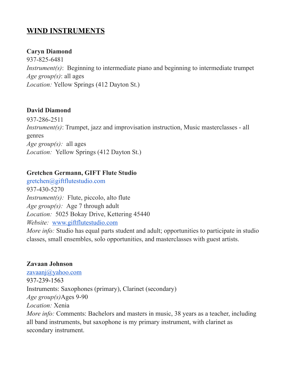# **WIND INSTRUMENTS**

#### **Caryn Diamond**

937-825-6481 *Instrument(s)*: Beginning to intermediate piano and beginning to intermediate trumpet *Age group(s)*: all ages *Location:* Yellow Springs (412 Dayton St.)

#### **David Diamond**

937-286-2511 *Instrument(s)*: Trumpet, jazz and improvisation instruction, Music masterclasses - all genres *Age group(s):* all ages *Location:* Yellow Springs (412 Dayton St.)

#### **Gretchen Germann, GIFT Flute Studio**

gretchen@giftflutestudio.com 937-430-5270 *Instrument(s)*: Flute, piccolo, alto flute *Age group(s):* Age 7 through adult *Location:* 5025 Bokay Drive, Kettering 45440 *Website:* [www.giftflutestudio.com](http://www.giftflutestudio.com/)

*More info:* Studio has equal parts student and adult; opportunities to participate in studio classes, small ensembles, solo opportunities, and masterclasses with guest artists.

#### **Zavaan Johnson**

[zavaanj@yahoo.com](mailto:zavaanj@yahoo.com) 937-239-1563 Instruments: Saxophones (primary), Clarinet (secondary) *Age group(s)*Ages 9-90 *Location:* Xenia *More info:* Comments: Bachelors and masters in music, 38 years as a teacher, including all band instruments, but saxophone is my primary instrument, with clarinet as secondary instrument.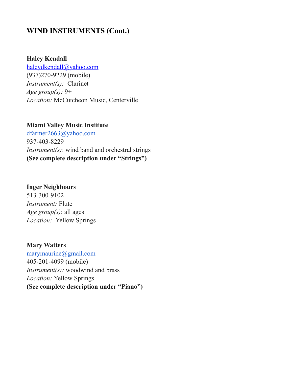## **WIND INSTRUMENTS (Cont.)**

#### **Haley Kendall**

haleydkendall@yahoo.com (937)270-9229 (mobile) *Instrument(s):* Clarinet *Age group(s):* 9+ *Location:* McCutcheon Music, Centerville

#### **Miami Valley Music Institute**

[dfarmer2663@yahoo.com](mailto:dfarmer2663@yahoo.com) 937-403-8229 *Instrument(s)*: wind band and orchestral strings **(See complete description under "Strings")**

#### **Inger Neighbours**

513-300-9102 *Instrument:* Flute *Age group(s)*: all ages *Location:* Yellow Springs

#### **Mary Watters**

[marymaurine@gmail.com](mailto:marymaurine@gmail.com) 405-201-4099 (mobile) *Instrument(s):* woodwind and brass *Location:* Yellow Springs **(See complete description under "Piano")**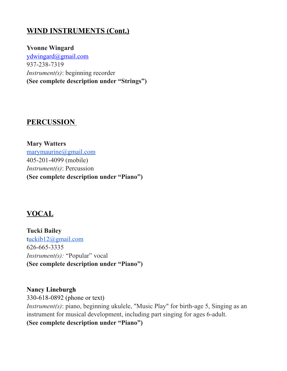# **WIND INSTRUMENTS (Cont.)**

**Yvonne Wingard** ydwingard@gmail.com 937-238-7319 *Instrument(s)*: beginning recorder **(See complete description under "Strings")**

## **PERCUSSION**

**Mary Watters** [marymaurine@gmail.com](mailto:marymaurine@gmail.com) 405-201-4099 (mobile) *Instrument(s)*: Percussion **(See complete description under "Piano")**

## **VOCAL**

**Tucki Bailey** [tuckib12@gmail.com](mailto:tuckib12@gmail.com) 626-665-3335 *Instrument(s):* "Popular" vocal **(See complete description under "Piano")**

**Nancy Lineburgh** 330-618-0892 (phone or text) *Instrument(s)*: piano, beginning ukulele, "Music Play" for birth-age 5, Singing as an instrument for musical development, including part singing for ages 6-adult. **(See complete description under "Piano")**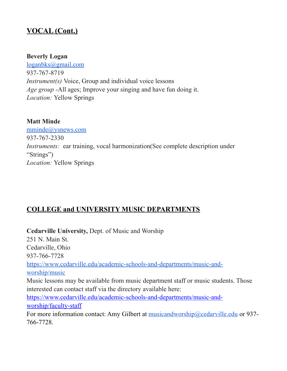# **VOCAL (Cont.)**

#### **Beverly Logan**

[loganbks@gmail.com](mailto:loganbks@gmail.com) 937-767-8719 *Instrument(s)* Voice, Group and individual voice lessons *Age group* -All ages; Improve your singing and have fun doing it. *Location:* Yellow Springs

#### **Matt Minde**

[mminde@ysnews.com](mailto:mind@ysnews.com) 937-767-2330 *Instruments:* ear training, vocal harmonization(See complete description under "Strings") *Location:* Yellow Springs

## **COLLEGE and UNIVERSITY MUSIC DEPARTMENTS**

**Cedarville University,** Dept. of Music and Worship 251 N. Main St. Cedarville, Ohio 937-766-7728 [https://www.cedarville.edu/academic-schools-and-departments/music-and](https://www.cedarville.edu/academic-schools-and-departments/music-and-worship/music)[worship/music](https://www.cedarville.edu/academic-schools-and-departments/music-and-worship/music) Music lessons may be available from music department staff or music students. Those interested can contact staff via the directory available here: [https://www.cedarville.edu/academic-schools-and-departments/music-and](https://www.cedarville.edu/academic-schools-and-departments/music-and-worship/faculty-staff)[worship/faculty-staff](https://www.cedarville.edu/academic-schools-and-departments/music-and-worship/faculty-staff) For more information contact: Amy Gilbert at [musicandworship@cedarville.edu](mailto:musicandworship@cedarville.edu) or 937-766-7728.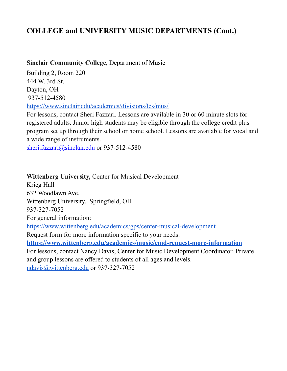## **COLLEGE and UNIVERSITY MUSIC DEPARTMENTS (Cont.)**

#### **Sinclair Community College,** Department of Music

Building 2, Room 220 444 W. 3rd St. Dayton, OH 937-512-4580 <https://www.sinclair.edu/academics/divisions/lcs/mus/>

For lessons, contact Sheri Fazzari. Lessons are available in 30 or 60 minute slots for registered adults. Junior high students may be eligible through the college credit plus program set up through their school or home school. Lessons are available for vocal and a wide range of instruments.

[sheri.fazzari@sinclair.edu](mailto:sheri.fazzari@sinclair.edu) or 937-512-4580

**Wittenberg University,** Center for Musical Development Krieg Hall 632 Woodlawn Ave. Wittenberg University, Springfield, OH 937-327-7052 For general information: <https://www.wittenberg.edu/academics/gps/center-musical-development> Request form for more information specific to your needs: **<https://www.wittenberg.edu/academics/music/cmd-request-more-information>** For lessons, contact Nancy Davis, Center for Music Development Coordinator. Private and group lessons are offered to students of all ages and levels. [ndavis@wittenberg.edu](mailto:ndavis@wittenberg.edu) or 937-327-7052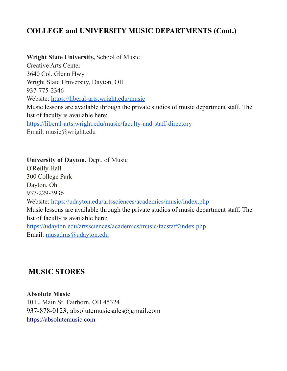# **COLLEGE and UNIVERSITY MUSIC DEPARTMENTS (Cont.)**

**Wright State University,** School of Music Creative Arts Center 3640 Col. Glenn Hwy Wright State University, Dayton, OH 937-775-2346 Website:<https://liberal-arts.wright.edu/music> Music lessons are available through the private studios of music department staff. The list of faculty is available here: <https://liberal-arts.wright.edu/music/faculty-and-staff-directory> Email: music@wright.edu

**University of Dayton,** Dept. of Music O'Reilly Hall 300 College Park Dayton, Oh 937-229-3936 Website:<https://udayton.edu/artssciences/academics/music/index.php> Music lessons are available through the private studios of music department staff. The list of faculty is available here: <https://udayton.edu/artssciences/academics/music/facstaff/index.php> Email: [musadms@udayton.edu](mailto:musadms@udayton.edu)

# **MUSIC STORES**

**Absolute Music**  10 E. Main St. Fairborn, OH 45324 [937-878-0123;](tel:9378780123) [absolutemusicsales@gmail.com](mailto:absolutemusicsales@gmail.com) [https://absolutemusic.com](https://absolutemusic.com/)